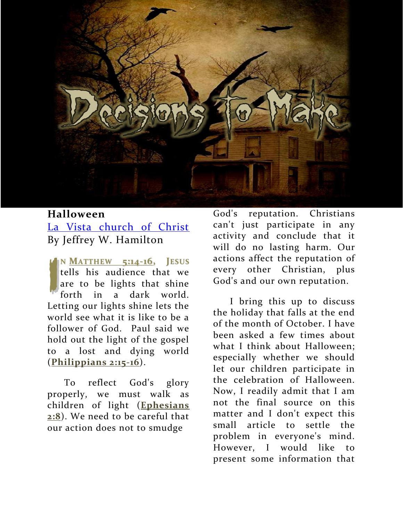

## **Halloween** [La Vista church of Christ](http://lavistachurchofchrist.org/LVarticles/Halloween.htm) By Jeffrey W. Hamilton

**N MATTHEW [5:14-16,](http://biblia.com/bible/nkjv/Matthew%205.14-16) JESUS**<br>
tells his audience that we<br>
are to be lights that shine<br>
forth in a dark world. tells his audience that we are to be lights that shine forth in a dark world. Letting our lights shine lets the world see what it is like to be a follower of God. Paul said we hold out the light of the gospel to a lost and dying world (**[Philippians 2:15-16](http://biblia.com/bible/nkjv/Philippians%202.15-16)**).

 To reflect God's glory properly, we must walk as children of light (**[Ephesians](http://biblia.com/bible/nkjv/Ephesians%202.8)  [2:8](http://biblia.com/bible/nkjv/Ephesians%202.8)**). We need to be careful that our action does not to smudge

God's reputation. Christians can't just participate in any activity and conclude that it will do no lasting harm. Our actions affect the reputation of every other Christian, plus God's and our own reputation.

 I bring this up to discuss the holiday that falls at the end of the month of October. I have been asked a few times about what I think about Halloween; especially whether we should let our children participate in the celebration of Halloween. Now, I readily admit that I am not the final source on this matter and I don't expect this small article to settle the problem in everyone's mind. However, I would like to present some information that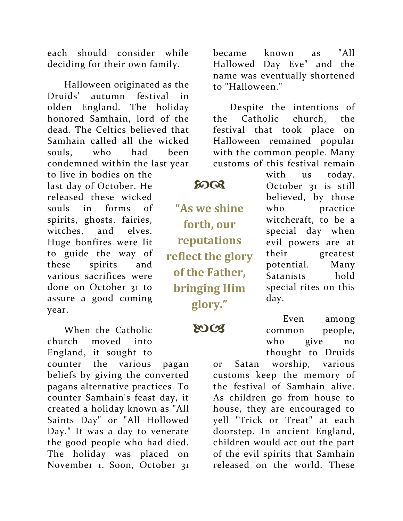each should consider while deciding for their own family.

 Halloween originated as the Druids' autumn festival in olden England. The holiday honored Samhain, lord of the dead. The Celtics believed that Samhain called all the wicked souls, who had been condemned within the last year

to live in bodies on the last day of October. He released these wicked souls in forms of spirits, ghosts, fairies, witches, and elves. Huge bonfires were lit to guide the way of these spirits and various sacrifices were done on October 31 to assure a good coming year.

 When the Catholic church moved into England, it sought to counter the various pagan beliefs by giving the converted pagans alternative practices. To counter Samhain's feast day, it created a holiday known as "All Saints Day" or "All Hollowed Day." It was a day to venerate the good people who had died. The holiday was placed on November 1. Soon, October 31

became known as "All Hallowed Day Eve" and the name was eventually shortened to "Halloween."

 Despite the intentions of the Catholic church, the festival that took place on Halloween remained popular with the common people. Many customs of this festival remain

## $50Q$

**"As we shine forth, our reputations reflect the glory of the Father, bringing Him glory."**

**2003** 

with us today. October 31 is still believed, by those who practice witchcraft, to be a special day when evil powers are at their greatest potential. Many Satanists hold special rites on this day.

 Even among common people, who give no thought to Druids

or Satan worship, various customs keep the memory of the festival of Samhain alive. As children go from house to house, they are encouraged to yell "Trick or Treat" at each doorstep. In ancient England, children would act out the part of the evil spirits that Samhain released on the world. These